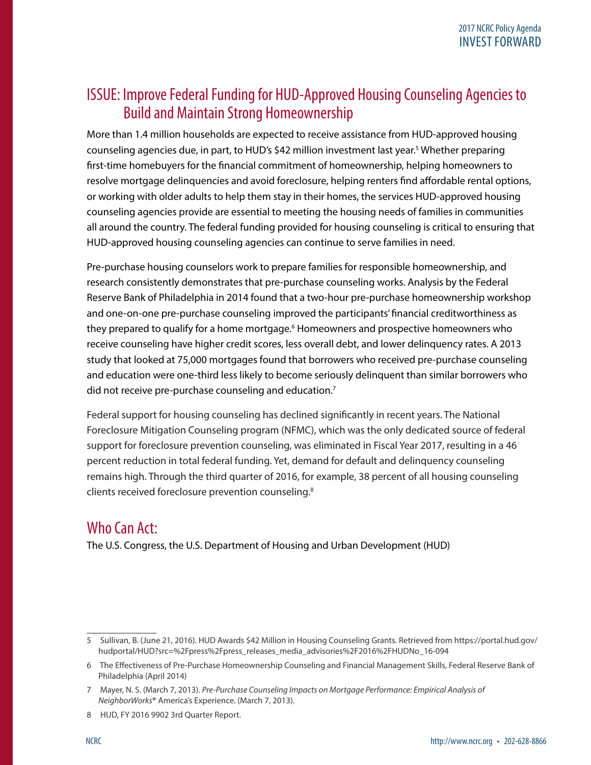## ISSUE: Improve Federal Funding for HUD-Approved Housing Counseling Agencies to Build and Maintain Strong Homeownership

More than 1.4 million households are expected to receive assistance from HUD-approved housing counseling agencies due, in part, to HUD's \$42 million investment last year.<sup>5</sup> Whether preparing first-time homebuyers for the financial commitment of homeownership, helping homeowners to resolve mortgage delinquencies and avoid foreclosure, helping renters find affordable rental options, or working with older adults to help them stay in their homes, the services HUD-approved housing counseling agencies provide are essential to meeting the housing needs of families in communities all around the country. The federal funding provided for housing counseling is critical to ensuring that HUD-approved housing counseling agencies can continue to serve families in need.

Pre-purchase housing counselors work to prepare families for responsible homeownership, and research consistently demonstrates that pre-purchase counseling works. Analysis by the Federal Reserve Bank of Philadelphia in 2014 found that a two-hour pre-purchase homeownership workshop and one-on-one pre-purchase counseling improved the participants' financial creditworthiness as they prepared to qualify for a home mortgage.<sup>6</sup> Homeowners and prospective homeowners who receive counseling have higher credit scores, less overall debt, and lower delinquency rates. A 2013 study that looked at 75,000 mortgages found that borrowers who received pre-purchase counseling and education were one-third less likely to become seriously delinquent than similar borrowers who did not receive pre-purchase counseling and education.<sup>7</sup>

Federal support for housing counseling has declined significantly in recent years. The National Foreclosure Mitigation Counseling program (NFMC), which was the only dedicated source of federal support for foreclosure prevention counseling, was eliminated in Fiscal Year 2017, resulting in a 46 percent reduction in total federal funding. Yet, demand for default and delinquency counseling remains high. Through the third quarter of 2016, for example, 38 percent of all housing counseling clients received foreclosure prevention counseling.8

## Who Can Act:

The U.S. Congress, the U.S. Department of Housing and Urban Development (HUD)

<sup>5</sup> Sullivan, B. (June 21, 2016). HUD Awards \$42 Million in Housing Counseling Grants. Retrieved from https://portal.hud.gov/ hudportal/HUD?src=%2Fpress%2Fpress\_releases\_media\_advisories%2F2016%2FHUDNo\_16-094

<sup>6</sup> The Effectiveness of Pre-Purchase Homeownership Counseling and Financial Management Skills, Federal Reserve Bank of Philadelphia (April 2014)

<sup>7</sup> Mayer, N. S. (March 7, 2013). *Pre-Purchase Counseling Impacts on Mortgage Performance: Empirical Analysis of NeighborWorks***®** America's Experience. (March 7, 2013).

<sup>8</sup> HUD, FY 2016 9902 3rd Quarter Report.